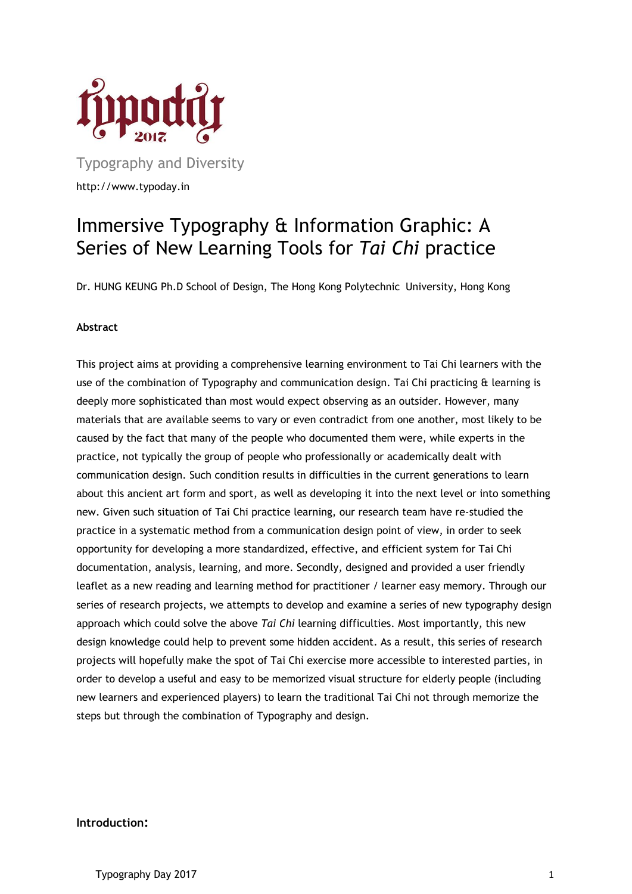

Typography and Diversity http://www.typoday.in

# Immersive Typography & Information Graphic: A Series of New Learning Tools for *Tai Chi* practice

Dr. HUNG KEUNG Ph.D School of Design, The Hong Kong Polytechnic University, Hong Kong

#### **Abstract**

This project aims at providing a comprehensive learning environment to Tai Chi learners with the use of the combination of Typography and communication design. Tai Chi practicing & learning is deeply more sophisticated than most would expect observing as an outsider. However, many materials that are available seems to vary or even contradict from one another, most likely to be caused by the fact that many of the people who documented them were, while experts in the practice, not typically the group of people who professionally or academically dealt with communication design. Such condition results in difficulties in the current generations to learn about this ancient art form and sport, as well as developing it into the next level or into something new. Given such situation of Tai Chi practice learning, our research team have re-studied the practice in a systematic method from a communication design point of view, in order to seek opportunity for developing a more standardized, effective, and efficient system for Tai Chi documentation, analysis, learning, and more. Secondly, designed and provided a user friendly leaflet as a new reading and learning method for practitioner / learner easy memory. Through our series of research projects, we attempts to develop and examine a series of new typography design approach which could solve the above *Tai Chi* learning difficulties. Most importantly, this new design knowledge could help to prevent some hidden accident. As a result, this series of research projects will hopefully make the spot of Tai Chi exercise more accessible to interested parties, in order to develop a useful and easy to be memorized visual structure for elderly people (including new learners and experienced players) to learn the traditional Tai Chi not through memorize the steps but through the combination of Typography and design.

#### **Introduction:**

Typography Day 2017 1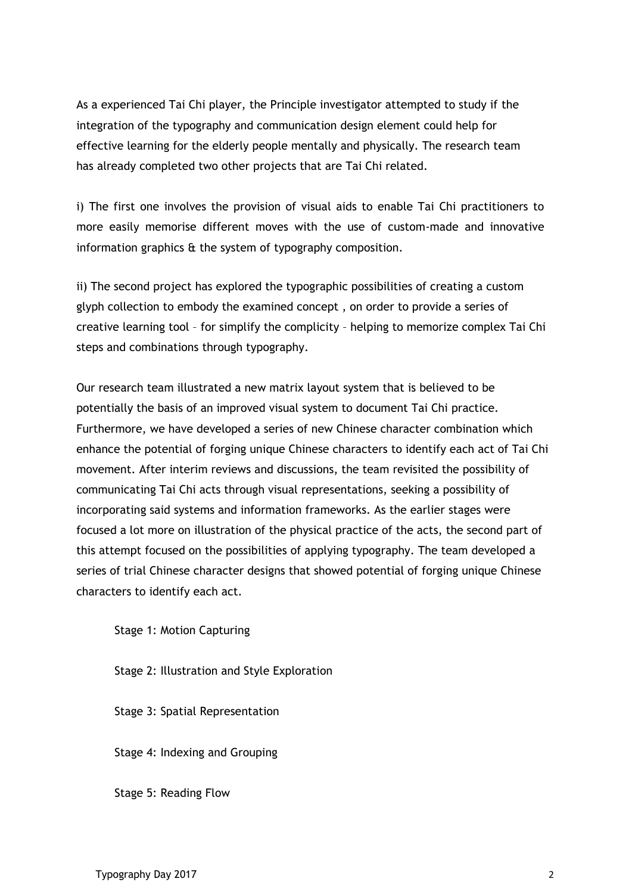As a experienced Tai Chi player, the Principle investigator attempted to study if the integration of the typography and communication design element could help for effective learning for the elderly people mentally and physically. The research team has already completed two other projects that are Tai Chi related.

i) The first one involves the provision of visual aids to enable Tai Chi practitioners to more easily memorise different moves with the use of custom-made and innovative information graphics & the system of typography composition.

ii) The second project has explored the typographic possibilities of creating a custom glyph collection to embody the examined concept , on order to provide a series of creative learning tool – for simplify the complicity – helping to memorize complex Tai Chi steps and combinations through typography.

Our research team illustrated a new matrix layout system that is believed to be potentially the basis of an improved visual system to document Tai Chi practice. Furthermore, we have developed a series of new Chinese character combination which enhance the potential of forging unique Chinese characters to identify each act of Tai Chi movement. After interim reviews and discussions, the team revisited the possibility of communicating Tai Chi acts through visual representations, seeking a possibility of incorporating said systems and information frameworks. As the earlier stages were focused a lot more on illustration of the physical practice of the acts, the second part of this attempt focused on the possibilities of applying typography. The team developed a series of trial Chinese character designs that showed potential of forging unique Chinese characters to identify each act.

Stage 1: Motion Capturing

Stage 2: Illustration and Style Exploration

Stage 3: Spatial Representation

Stage 4: Indexing and Grouping

Stage 5: Reading Flow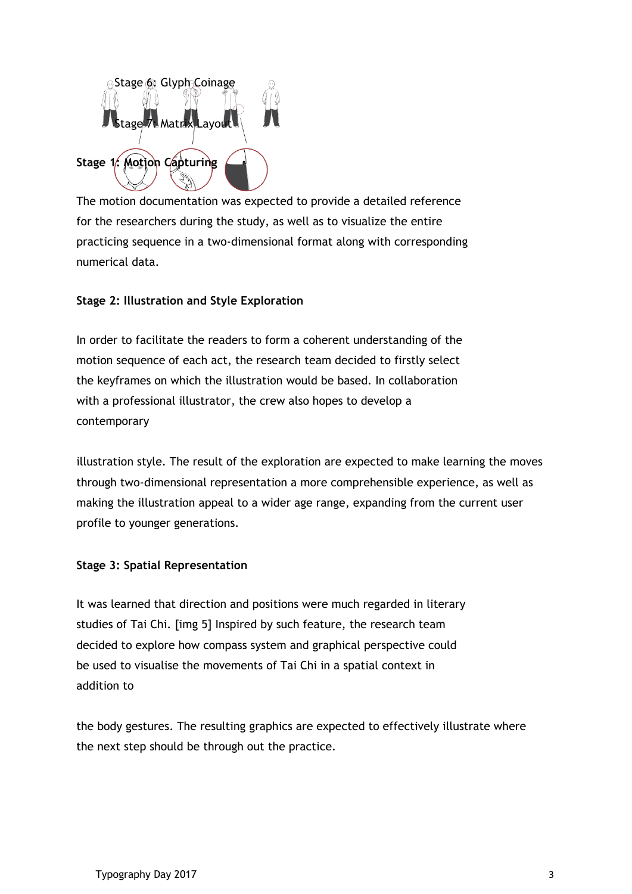

The motion documentation was expected to provide a detailed reference for the researchers during the study, as well as to visualize the entire practicing sequence in a two-dimensional format along with corresponding numerical data.

# **Stage 2: Illustration and Style Exploration**

In order to facilitate the readers to form a coherent understanding of the motion sequence of each act, the research team decided to firstly select the keyframes on which the illustration would be based. In collaboration with a professional illustrator, the crew also hopes to develop a contemporary

illustration style. The result of the exploration are expected to make learning the moves through two-dimensional representation a more comprehensible experience, as well as making the illustration appeal to a wider age range, expanding from the current user profile to younger generations.

## **Stage 3: Spatial Representation**

It was learned that direction and positions were much regarded in literary studies of Tai Chi. [img 5] Inspired by such feature, the research team decided to explore how compass system and graphical perspective could be used to visualise the movements of Tai Chi in a spatial context in addition to

the body gestures. The resulting graphics are expected to effectively illustrate where the next step should be through out the practice.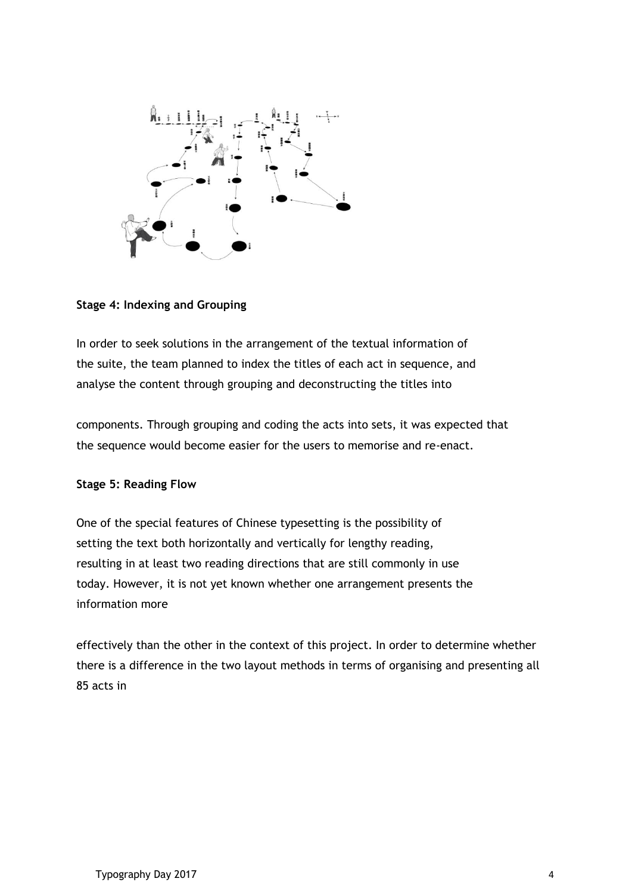

# **Stage 4: Indexing and Grouping**

In order to seek solutions in the arrangement of the textual information of the suite, the team planned to index the titles of each act in sequence, and analyse the content through grouping and deconstructing the titles into

components. Through grouping and coding the acts into sets, it was expected that the sequence would become easier for the users to memorise and re-enact.

## **Stage 5: Reading Flow**

One of the special features of Chinese typesetting is the possibility of setting the text both horizontally and vertically for lengthy reading, resulting in at least two reading directions that are still commonly in use today. However, it is not yet known whether one arrangement presents the information more

effectively than the other in the context of this project. In order to determine whether there is a difference in the two layout methods in terms of organising and presenting all 85 acts in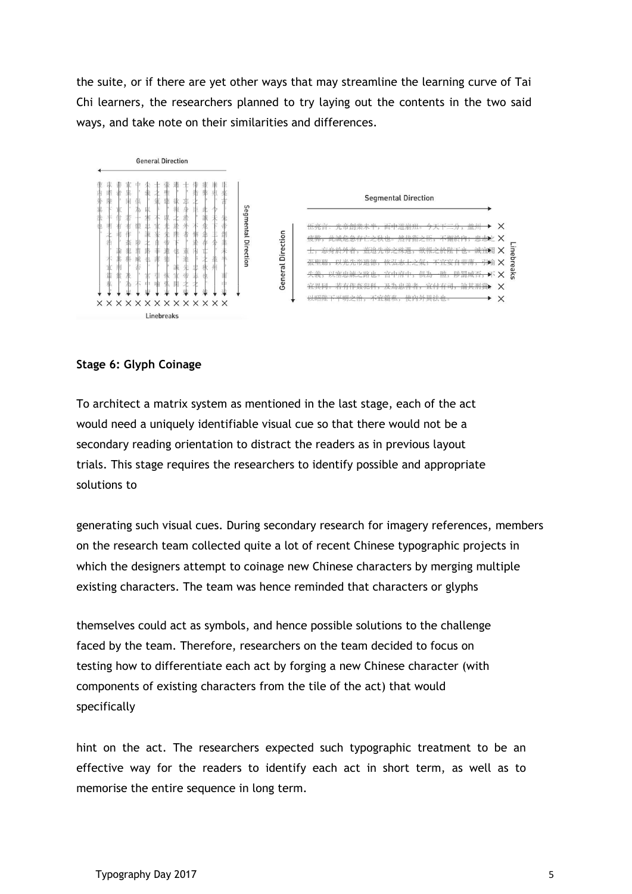the suite, or if there are yet other ways that may streamline the learning curve of Tai Chi learners, the researchers planned to try laying out the contents in the two said ways, and take note on their similarities and differences.



## **Stage 6: Glyph Coinage**

To architect a matrix system as mentioned in the last stage, each of the act would need a uniquely identifiable visual cue so that there would not be a secondary reading orientation to distract the readers as in previous layout trials. This stage requires the researchers to identify possible and appropriate solutions to

generating such visual cues. During secondary research for imagery references, members on the research team collected quite a lot of recent Chinese typographic projects in which the designers attempt to coinage new Chinese characters by merging multiple existing characters. The team was hence reminded that characters or glyphs

themselves could act as symbols, and hence possible solutions to the challenge faced by the team. Therefore, researchers on the team decided to focus on testing how to differentiate each act by forging a new Chinese character (with components of existing characters from the tile of the act) that would specifically

hint on the act. The researchers expected such typographic treatment to be an effective way for the readers to identify each act in short term, as well as to memorise the entire sequence in long term.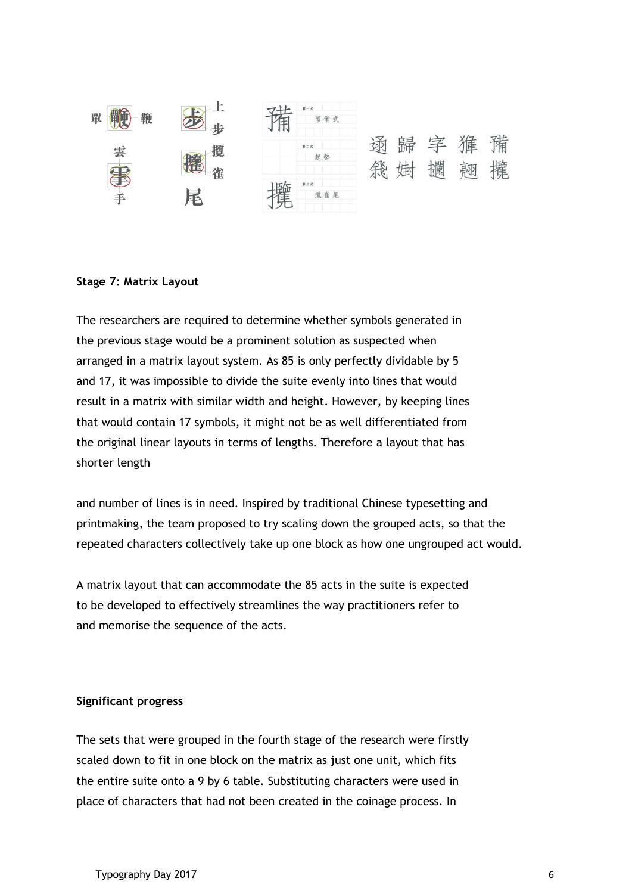

#### **Stage 7: Matrix Layout**

The researchers are required to determine whether symbols generated in the previous stage would be a prominent solution as suspected when arranged in a matrix layout system. As 85 is only perfectly dividable by 5 and 17, it was impossible to divide the suite evenly into lines that would result in a matrix with similar width and height. However, by keeping lines that would contain 17 symbols, it might not be as well differentiated from the original linear layouts in terms of lengths. Therefore a layout that has shorter length

and number of lines is in need. Inspired by traditional Chinese typesetting and printmaking, the team proposed to try scaling down the grouped acts, so that the repeated characters collectively take up one block as how one ungrouped act would.

A matrix layout that can accommodate the 85 acts in the suite is expected to be developed to effectively streamlines the way practitioners refer to and memorise the sequence of the acts.

#### **Significant progress**

The sets that were grouped in the fourth stage of the research were firstly scaled down to fit in one block on the matrix as just one unit, which fits the entire suite onto a 9 by 6 table. Substituting characters were used in place of characters that had not been created in the coinage process. In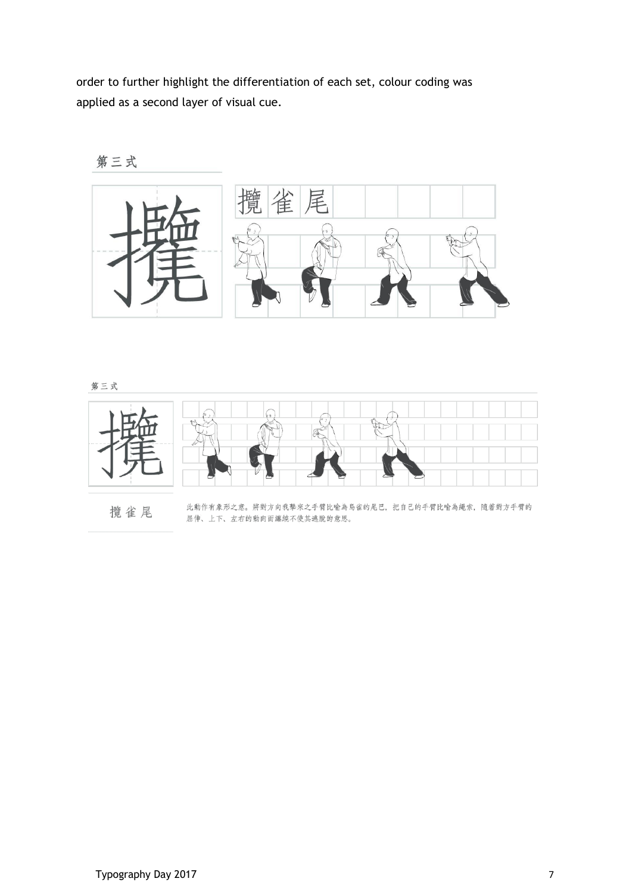order to further highlight the differentiation of each set, colour coding was applied as a second layer of visual cue.





第三式



攬雀尾

此動作有象形之意。將對方向我擊來之手臂比喻為鳥雀的尾巴, 把自己的手臂比喻為繩索, 隨著對方手臂的 屈伸、上下、左右的動向而纏繞不使其逃脫的意思。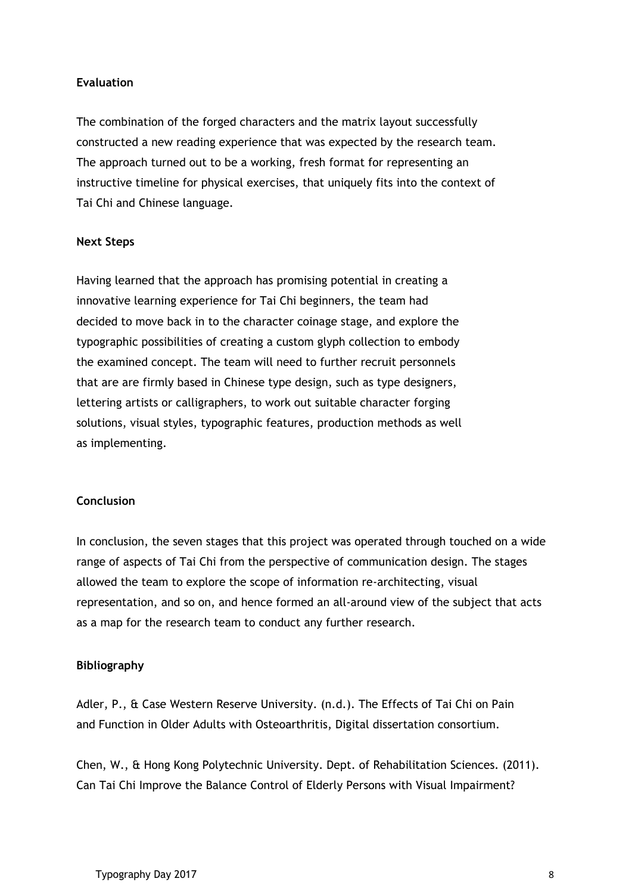# **Evaluation**

The combination of the forged characters and the matrix layout successfully constructed a new reading experience that was expected by the research team. The approach turned out to be a working, fresh format for representing an instructive timeline for physical exercises, that uniquely fits into the context of Tai Chi and Chinese language.

## **Next Steps**

Having learned that the approach has promising potential in creating a innovative learning experience for Tai Chi beginners, the team had decided to move back in to the character coinage stage, and explore the typographic possibilities of creating a custom glyph collection to embody the examined concept. The team will need to further recruit personnels that are are firmly based in Chinese type design, such as type designers, lettering artists or calligraphers, to work out suitable character forging solutions, visual styles, typographic features, production methods as well as implementing.

## **Conclusion**

In conclusion, the seven stages that this project was operated through touched on a wide range of aspects of Tai Chi from the perspective of communication design. The stages allowed the team to explore the scope of information re-architecting, visual representation, and so on, and hence formed an all-around view of the subject that acts as a map for the research team to conduct any further research.

## **Bibliography**

Adler, P., & Case Western Reserve University. (n.d.). The Effects of Tai Chi on Pain and Function in Older Adults with Osteoarthritis, Digital dissertation consortium.

Chen, W., & Hong Kong Polytechnic University. Dept. of Rehabilitation Sciences. (2011). Can Tai Chi Improve the Balance Control of Elderly Persons with Visual Impairment?